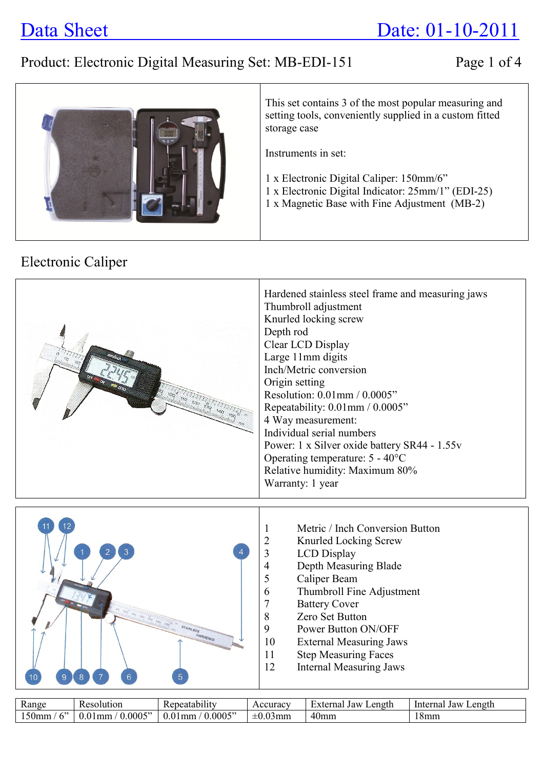# Data Sheet Date: 01-10-2011

# Product: Electronic Digital Measuring Set: MB-EDI-151 Page 1 of 4



This set contains 3 of the most popular measuring and setting tools, conveniently supplied in a custom fitted storage case

Instruments in set:

- 1 x Electronic Digital Caliper: 150mm/6"
- 1 x Electronic Digital Indicator: 25mm/1" (EDI-25)
- 1 x Magnetic Base with Fine Adjustment (MB-2)

## Electronic Caliper



| <b>D</b><br><b>Range</b> | <b>Resolution</b>                            | $\cdot$ .<br>Repeatability | Accuracy                       | $\overline{\phantom{0}}$<br>Length<br>External<br>Jaw | Length<br>Interna.<br>Jaw |
|--------------------------|----------------------------------------------|----------------------------|--------------------------------|-------------------------------------------------------|---------------------------|
| $\sim$<br>150mm          | .0005"<br>$\bigcap$<br>l mm<br>$\mathcal{M}$ | 0.0005"<br>0.01<br>I mm    | $\pm 0.0$ <sup>2</sup><br>03mm | 40mm                                                  | J. 8mm                    |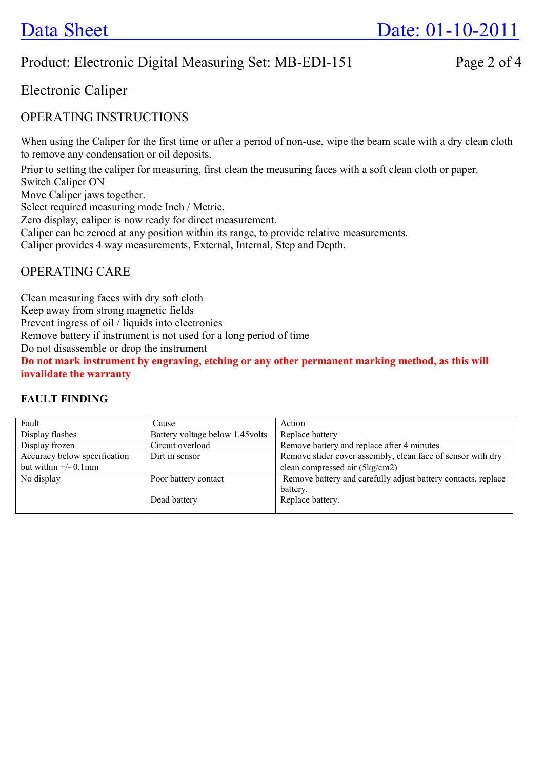## Product: Electronic Digital Measuring Set: MB-EDI-151 Page 2 of 4

## Electronic Caliper

#### OPERATING INSTRUCTIONS

When using the Caliper for the first time or after a period of non-use, wipe the beam scale with a dry clean cloth to remove any condensation or oil deposits.

Prior to setting the caliper for measuring, first clean the measuring faces with a soft clean cloth or paper. Switch Caliper ON

Move Caliper jaws together.

Select required measuring mode Inch / Metric.

Zero display, caliper is now ready for direct measurement.

Caliper can be zeroed at any position within its range, to provide relative measurements.

Caliper provides 4 way measurements, External, Internal, Step and Depth.

### OPERATING CARE

Clean measuring faces with dry soft cloth

Keep away from strong magnetic fields

Prevent ingress of oil / liquids into electronics

Remove battery if instrument is not used for a long period of time

Do not disassemble or drop the instrument

**Do not mark instrument by engraving, etching or any other permanent marking method, as this will invalidate the warranty** 

#### **FAULT FINDING**

| Fault                           | Cause                            | Action                                                        |  |  |
|---------------------------------|----------------------------------|---------------------------------------------------------------|--|--|
| Display flashes                 | Battery voltage below 1.45 volts | Replace battery                                               |  |  |
| Display frozen                  | Circuit overload                 | Remove battery and replace after 4 minutes                    |  |  |
| Accuracy below specification    | Dirt in sensor                   | Remove slider cover assembly, clean face of sensor with dry   |  |  |
| but within $\frac{+}{-}$ 0.1 mm |                                  | clean compressed air (5kg/cm2)                                |  |  |
| No display                      | Poor battery contact             | Remove battery and carefully adjust battery contacts, replace |  |  |
|                                 |                                  | battery.                                                      |  |  |
|                                 | Dead battery                     | Replace battery.                                              |  |  |
|                                 |                                  |                                                               |  |  |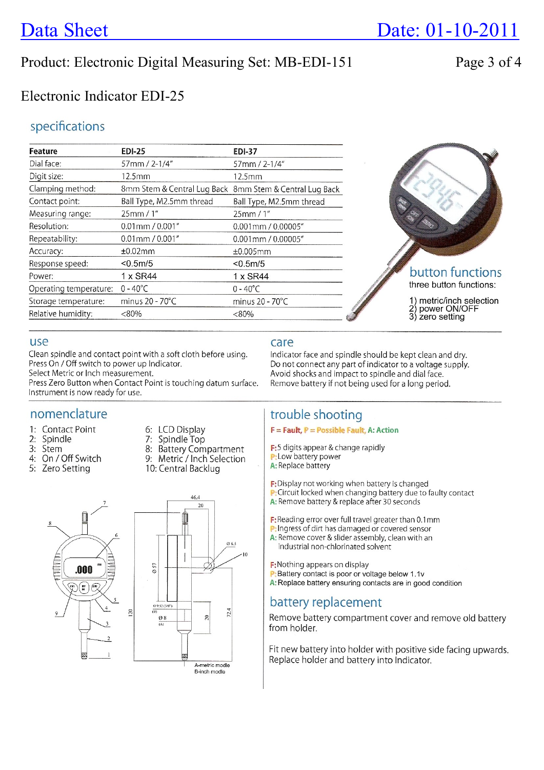# **Data Sheet**

## Product: Electronic Digital Measuring Set: MB-EDI-151

## Electronic Indicator EDI-25

#### specifications

| Feature                | <b>EDI-25</b>            | <b>EDI-37</b>                                           |                                       |
|------------------------|--------------------------|---------------------------------------------------------|---------------------------------------|
| Dial face:             | 57mm / 2-1/4"            | 57mm / 2-1/4"                                           |                                       |
| Digit size:            | 12.5mm                   | 12.5mm                                                  |                                       |
| Clamping method:       |                          | 8mm Stem & Central Lug Back 8mm Stem & Central Lug Back |                                       |
| Contact point:         | Ball Type, M2.5mm thread | Ball Type, M2.5mm thread                                |                                       |
| Measuring range:       | 25mm/1"                  | 25mm/1"                                                 |                                       |
| Resolution:            | $0.01$ mm $/ 0.001$ "    | $0.001$ mm $/ 0.00005$ "                                |                                       |
| Repeatability:         | $0.01$ mm $/ 0.001$ "    | 0.001mm / 0.00005"                                      |                                       |
| Accuracy:              | ±0.02mm                  | ±0.005mm                                                |                                       |
| Response speed:        | < 0.5m/5                 | < 0.5m/5                                                |                                       |
| Power:                 | 1 x SR44                 | 1 x SR44                                                | button functions                      |
| Operating temperature: | $0 - 40^{\circ}$ C       | $0 - 40^{\circ}$ C                                      | three button functions:               |
| Storage temperature:   | minus 20 - 70°C          | minus 20 - 70°C                                         | metric/inch selection<br>power ON/OFF |
| Relative humidity:     | $<80\%$                  | $<80\%$                                                 | 3) zero setting                       |

#### use

Clean spindle and contact point with a soft cloth before using. Press On / Off switch to power up Indicator. Select Metric or Inch measurement.

Press Zero Button when Contact Point is touching datum surface. Instrument is now ready for use.

#### nomenclature

- 1: Contact Point
- 2: Spindle
- 3: Stem
- 4: On / Off Switch
- 5: Zero Setting
- 6: LCD Display
- 7: Spindle Top
- 8: Battery Compartment
- 9: Metric / Inch Selection
- 10: Central Backlug



#### care

Indicator face and spindle should be kept clean and dry. Do not connect any part of indicator to a voltage supply. Avoid shocks and impact to spindle and dial face. Remove battery if not being used for a long period.

#### trouble shooting

 $F = \text{Fault}, P = \text{Possible Fault}, A: Action$ 

F:5 digits appear & change rapidly P: Low battery power A: Replace battery

F: Display not working when battery is changed P: Circuit locked when changing battery due to faulty contact A: Remove battery & replace after 30 seconds

F:Reading error over full travel greater than 0.1mm

- P: Ingress of dirt has damaged or covered sensor
- A: Remove cover & slider assembly, clean with an industrial non-chlorinated solvent

F: Nothing appears on display

- P: Battery contact is poor or voltage below 1.1v
	- A: Replace battery ensuring contacts are in good condition

#### battery replacement

Remove battery compartment cover and remove old battery from holder.

Fit new battery into holder with positive side facing upwards. Replace holder and battery into Indicator.

Page 3 of 4